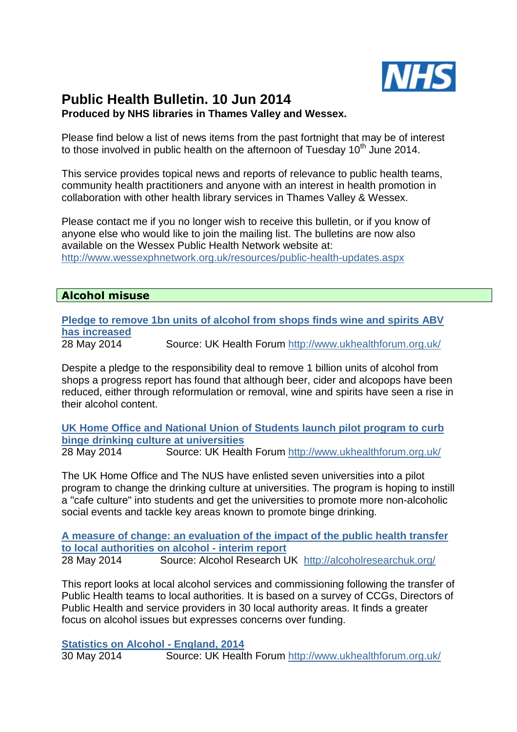

# **Public Health Bulletin. 10 Jun 2014 Produced by NHS libraries in Thames Valley and Wessex.**

Please find below a list of news items from the past fortnight that may be of interest to those involved in public health on the afternoon of Tuesday  $10<sup>th</sup>$  June 2014.

This service provides topical news and reports of relevance to public health teams, community health practitioners and anyone with an interest in health promotion in collaboration with other health library services in Thames Valley & Wessex.

Please contact me if you no longer wish to receive this bulletin, or if you know of anyone else who would like to join the mailing list. The bulletins are now also available on the Wessex Public Health Network website at: http://www.wessexphnetwork.org.uk/resources/public-health-updates.aspx

# **Alcohol misuse**

**Pledge to remove 1bn units of alcohol from shops finds wine and spirits ABV has increased** 

28 May 2014 Source: UK Health Forum http://www.ukhealthforum.org.uk/

Despite a pledge to the responsibility deal to remove 1 billion units of alcohol from shops a progress report has found that although beer, cider and alcopops have been reduced, either through reformulation or removal, wine and spirits have seen a rise in their alcohol content.

**UK Home Office and National Union of Students launch pilot program to curb binge drinking culture at universities**  28 May 2014 Source: UK Health Forum http://www.ukhealthforum.org.uk/

The UK Home Office and The NUS have enlisted seven universities into a pilot program to change the drinking culture at universities. The program is hoping to instill a "cafe culture" into students and get the universities to promote more non-alcoholic social events and tackle key areas known to promote binge drinking.

**A measure of change: an evaluation of the impact of the public health transfer to local authorities on alcohol - interim report** 28 May 2014 Source: Alcohol Research UK http://alcoholresearchuk.org/

This report looks at local alcohol services and commissioning following the transfer of Public Health teams to local authorities. It is based on a survey of CCGs, Directors of Public Health and service providers in 30 local authority areas. It finds a greater focus on alcohol issues but expresses concerns over funding.

#### **Statistics on Alcohol - England, 2014**

30 May 2014 Source: UK Health Forum http://www.ukhealthforum.org.uk/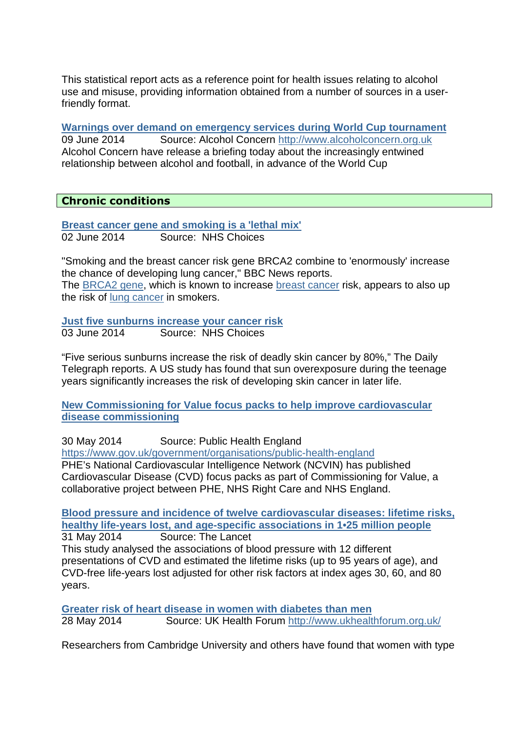This statistical report acts as a reference point for health issues relating to alcohol use and misuse, providing information obtained from a number of sources in a userfriendly format.

**Warnings over demand on emergency services during World Cup tournament**  09 June 2014 Source: Alcohol Concern http://www.alcoholconcern.org.uk Alcohol Concern have release a briefing today about the increasingly entwined relationship between alcohol and football, in advance of the World Cup

# **Chronic conditions**

**Breast cancer gene and smoking is a 'lethal mix'** 02 June 2014 Source: NHS Choices

"Smoking and the breast cancer risk gene BRCA2 combine to 'enormously' increase the chance of developing lung cancer," BBC News reports. The BRCA2 gene, which is known to increase breast cancer risk, appears to also up the risk of lung cancer in smokers.

**Just five sunburns increase your cancer risk** 03 June 2014 Source: NHS Choices

"Five serious sunburns increase the risk of deadly skin cancer by 80%," The Daily Telegraph reports. A US study has found that sun overexposure during the teenage years significantly increases the risk of developing skin cancer in later life.

**New Commissioning for Value focus packs to help improve cardiovascular disease commissioning**

30 May 2014 Source: Public Health England https://www.gov.uk/government/organisations/public-health-england PHE's National Cardiovascular Intelligence Network (NCVIN) has published Cardiovascular Disease (CVD) focus packs as part of Commissioning for Value, a collaborative project between PHE, NHS Right Care and NHS England.

**Blood pressure and incidence of twelve cardiovascular diseases: lifetime risks, healthy life-years lost, and age-specific associations in 1•25 million people** 

31 May 2014 Source: The Lancet This study analysed the associations of blood pressure with 12 different presentations of CVD and estimated the lifetime risks (up to 95 years of age), and CVD-free life-years lost adjusted for other risk factors at index ages 30, 60, and 80 years.

**Greater risk of heart disease in women with diabetes than men**  28 May 2014 Source: UK Health Forum http://www.ukhealthforum.org.uk/

Researchers from Cambridge University and others have found that women with type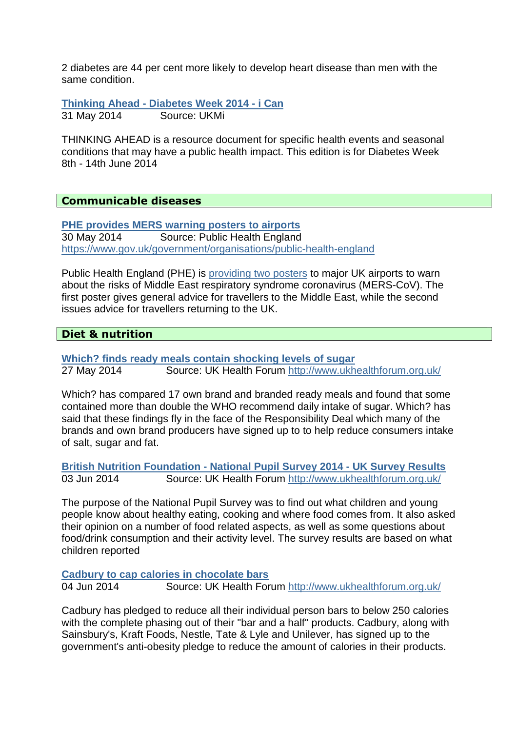2 diabetes are 44 per cent more likely to develop heart disease than men with the same condition.

**Thinking Ahead - Diabetes Week 2014 - i Can** 31 May 2014 Source: UKMi

THINKING AHEAD is a resource document for specific health events and seasonal conditions that may have a public health impact. This edition is for Diabetes Week 8th - 14th June 2014

#### **Communicable diseases**

**PHE provides MERS warning posters to airports** 30 May 2014 Source: Public Health England https://www.gov.uk/government/organisations/public-health-england

Public Health England (PHE) is providing two posters to major UK airports to warn about the risks of Middle East respiratory syndrome coronavirus (MERS-CoV). The first poster gives general advice for travellers to the Middle East, while the second issues advice for travellers returning to the UK.

#### **Diet & nutrition**

**Which? finds ready meals contain shocking levels of sugar**  27 May 2014 Source: UK Health Forum http://www.ukhealthforum.org.uk/

Which? has compared 17 own brand and branded ready meals and found that some contained more than double the WHO recommend daily intake of sugar. Which? has said that these findings fly in the face of the Responsibility Deal which many of the brands and own brand producers have signed up to to help reduce consumers intake of salt, sugar and fat.

**British Nutrition Foundation - National Pupil Survey 2014 - UK Survey Results**  03 Jun 2014 Source: UK Health Forum http://www.ukhealthforum.org.uk/

The purpose of the National Pupil Survey was to find out what children and young people know about healthy eating, cooking and where food comes from. It also asked their opinion on a number of food related aspects, as well as some questions about food/drink consumption and their activity level. The survey results are based on what children reported

#### **Cadbury to cap calories in chocolate bars**

04 Jun 2014 Source: UK Health Forum http://www.ukhealthforum.org.uk/

Cadbury has pledged to reduce all their individual person bars to below 250 calories with the complete phasing out of their "bar and a half" products. Cadbury, along with Sainsbury's, Kraft Foods, Nestle, Tate & Lyle and Unilever, has signed up to the government's anti-obesity pledge to reduce the amount of calories in their products.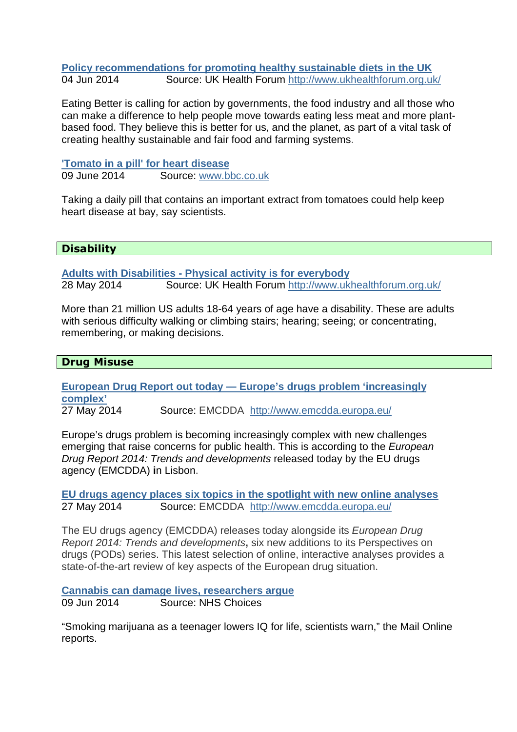**Policy recommendations for promoting healthy sustainable diets in the UK**  04 Jun 2014 Source: UK Health Forum http://www.ukhealthforum.org.uk/

Eating Better is calling for action by governments, the food industry and all those who can make a difference to help people move towards eating less meat and more plantbased food. They believe this is better for us, and the planet, as part of a vital task of creating healthy sustainable and fair food and farming systems.

**'Tomato in a pill' for heart disease** 09 June 2014 Source: www.bbc.co.uk

Taking a daily pill that contains an important extract from tomatoes could help keep heart disease at bay, say scientists.

# **Disability**

**Adults with Disabilities - Physical activity is for everybody**  28 May 2014 Source: UK Health Forum http://www.ukhealthforum.org.uk/

More than 21 million US adults 18-64 years of age have a disability. These are adults with serious difficulty walking or climbing stairs; hearing; seeing; or concentrating, remembering, or making decisions.

# **Drug Misuse**

**European Drug Report out today — Europe's drugs problem 'increasingly complex'**

27 May 2014 Source: EMCDDAhttp://www.emcdda.europa.eu/

Europe's drugs problem is becoming increasingly complex with new challenges emerging that raise concerns for public health. This is according to the European Drug Report 2014: Trends and developments released today by the EU drugs agency (EMCDDA) **i**n Lisbon.

**EU drugs agency places six topics in the spotlight with new online analyses** 27 May 2014 Source: EMCDDAhttp://www.emcdda.europa.eu/

The EU drugs agency (EMCDDA) releases today alongside its European Drug Report 2014: Trends and developments**,** six new additions to its Perspectives on drugs (PODs) series. This latest selection of online, interactive analyses provides a state-of-the-art review of key aspects of the European drug situation.

**Cannabis can damage lives, researchers argue**

09 Jun 2014 Source: NHS Choices

"Smoking marijuana as a teenager lowers IQ for life, scientists warn," the Mail Online reports.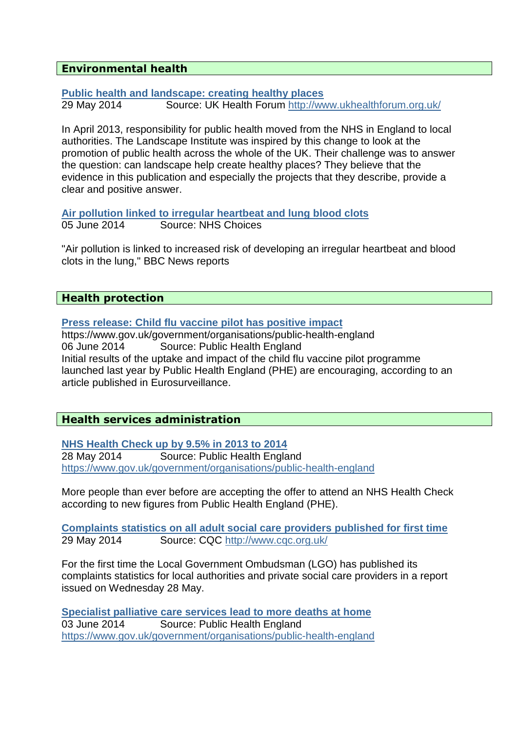# **Environmental health**

**Public health and landscape: creating healthy places**  29 May 2014 Source: UK Health Forum http://www.ukhealthforum.org.uk/

In April 2013, responsibility for public health moved from the NHS in England to local authorities. The Landscape Institute was inspired by this change to look at the promotion of public health across the whole of the UK. Their challenge was to answer the question: can landscape help create healthy places? They believe that the evidence in this publication and especially the projects that they describe, provide a clear and positive answer.

**Air pollution linked to irregular heartbeat and lung blood clots** 05 June 2014 Source: NHS Choices

"Air pollution is linked to increased risk of developing an irregular heartbeat and blood clots in the lung," BBC News reports

#### **Health protection**

**Press release: Child flu vaccine pilot has positive impact**

https://www.gov.uk/government/organisations/public-health-england 06 June 2014 Source: Public Health England Initial results of the uptake and impact of the child flu vaccine pilot programme launched last year by Public Health England (PHE) are encouraging, according to an article published in Eurosurveillance.

# **Health services administration**

**NHS Health Check up by 9.5% in 2013 to 2014** 28 May 2014 Source: Public Health England https://www.gov.uk/government/organisations/public-health-england

More people than ever before are accepting the offer to attend an NHS Health Check according to new figures from Public Health England (PHE).

**Complaints statistics on all adult social care providers published for first time** 29 May 2014 Source: CQC http://www.cqc.org.uk/

For the first time the Local Government Ombudsman (LGO) has published its complaints statistics for local authorities and private social care providers in a report issued on Wednesday 28 May.

**Specialist palliative care services lead to more deaths at home** 03 June 2014 Source: Public Health England https://www.gov.uk/government/organisations/public-health-england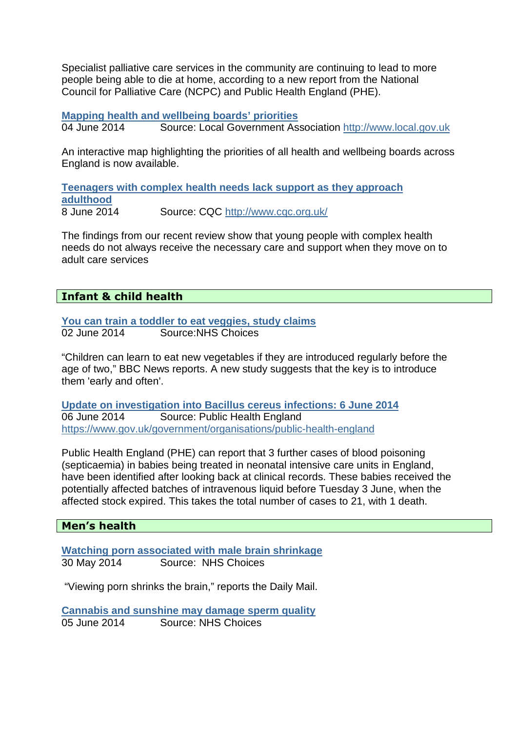Specialist palliative care services in the community are continuing to lead to more people being able to die at home, according to a new report from the National Council for Palliative Care (NCPC) and Public Health England (PHE).

**Mapping health and wellbeing boards' priorities**

04 June 2014 Source: Local Government Association http://www.local.gov.uk

An interactive map highlighting the priorities of all health and wellbeing boards across England is now available.

**Teenagers with complex health needs lack support as they approach adulthood** 8 June 2014 Source: CQC http://www.cqc.org.uk/

The findings from our recent review show that young people with complex health needs do not always receive the necessary care and support when they move on to adult care services

# **Infant & child health**

**You can train a toddler to eat veggies, study claims** 02 June 2014 Source:NHS Choices

"Children can learn to eat new vegetables if they are introduced regularly before the age of two," BBC News reports. A new study suggests that the key is to introduce them 'early and often'.

**Update on investigation into Bacillus cereus infections: 6 June 2014** 06 June 2014 Source: Public Health England https://www.gov.uk/government/organisations/public-health-england

Public Health England (PHE) can report that 3 further cases of blood poisoning (septicaemia) in babies being treated in neonatal intensive care units in England, have been identified after looking back at clinical records. These babies received the potentially affected batches of intravenous liquid before Tuesday 3 June, when the affected stock expired. This takes the total number of cases to 21, with 1 death.

# **Men's health**

**Watching porn associated with male brain shrinkage** 30 May 2014 Source: NHS Choices

"Viewing porn shrinks the brain," reports the Daily Mail.

**Cannabis and sunshine may damage sperm quality** 05 June 2014 Source: NHS Choices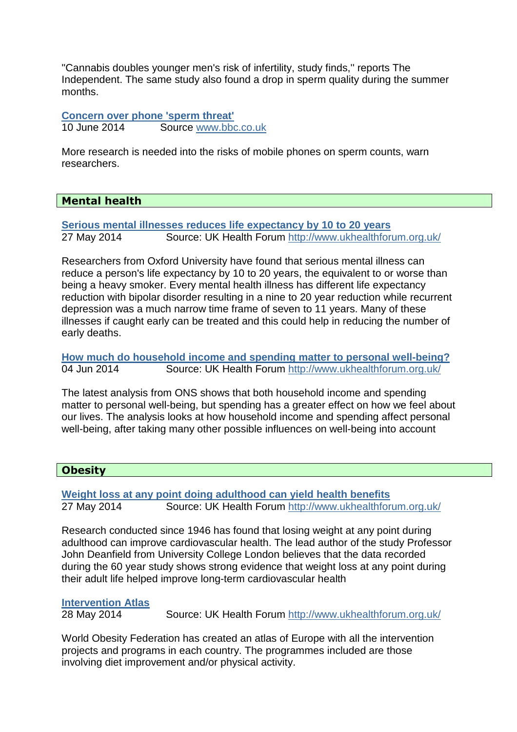''Cannabis doubles younger men's risk of infertility, study finds,'' reports The Independent. The same study also found a drop in sperm quality during the summer months.

**Concern over phone 'sperm threat'** 10 June 2014 Source www.bbc.co.uk

More research is needed into the risks of mobile phones on sperm counts, warn researchers.

# **Mental health**

**Serious mental illnesses reduces life expectancy by 10 to 20 years**  27 May 2014 Source: UK Health Forum http://www.ukhealthforum.org.uk/

Researchers from Oxford University have found that serious mental illness can reduce a person's life expectancy by 10 to 20 years, the equivalent to or worse than being a heavy smoker. Every mental health illness has different life expectancy reduction with bipolar disorder resulting in a nine to 20 year reduction while recurrent depression was a much narrow time frame of seven to 11 years. Many of these illnesses if caught early can be treated and this could help in reducing the number of early deaths.

**How much do household income and spending matter to personal well-being?**  04 Jun 2014 Source: UK Health Forum http://www.ukhealthforum.org.uk/

The latest analysis from ONS shows that both household income and spending matter to personal well-being, but spending has a greater effect on how we feel about our lives. The analysis looks at how household income and spending affect personal well-being, after taking many other possible influences on well-being into account

# **Obesity**

**Weight loss at any point doing adulthood can yield health benefits**  27 May 2014 Source: UK Health Forum http://www.ukhealthforum.org.uk/

Research conducted since 1946 has found that losing weight at any point during adulthood can improve cardiovascular health. The lead author of the study Professor John Deanfield from University College London believes that the data recorded during the 60 year study shows strong evidence that weight loss at any point during their adult life helped improve long-term cardiovascular health

#### **Intervention Atlas**

28 May 2014 Source: UK Health Forum http://www.ukhealthforum.org.uk/

World Obesity Federation has created an atlas of Europe with all the intervention projects and programs in each country. The programmes included are those involving diet improvement and/or physical activity.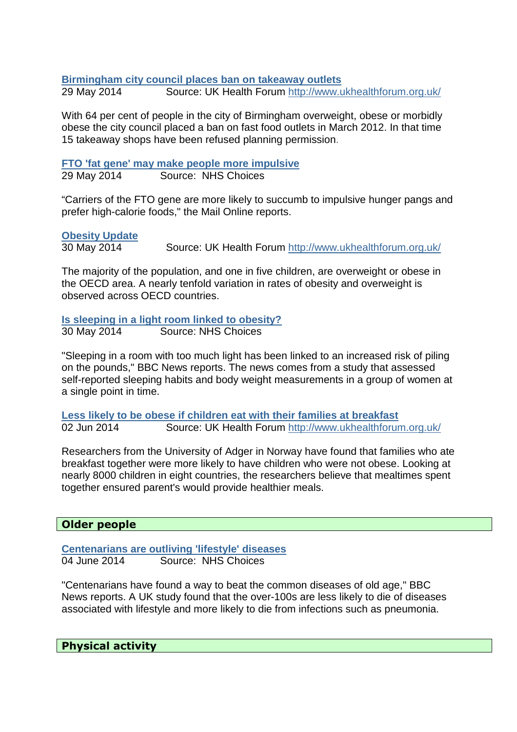#### **Birmingham city council places ban on takeaway outlets**

29 May 2014 Source: UK Health Forum http://www.ukhealthforum.org.uk/

With 64 per cent of people in the city of Birmingham overweight, obese or morbidly obese the city council placed a ban on fast food outlets in March 2012. In that time 15 takeaway shops have been refused planning permission.

**FTO 'fat gene' may make people more impulsive**  29 May 2014 Source: NHS Choices

"Carriers of the FTO gene are more likely to succumb to impulsive hunger pangs and prefer high-calorie foods," the Mail Online reports.

#### **Obesity Update**

30 May 2014 Source: UK Health Forum http://www.ukhealthforum.org.uk/

The majority of the population, and one in five children, are overweight or obese in the OECD area. A nearly tenfold variation in rates of obesity and overweight is observed across OECD countries.

**Is sleeping in a light room linked to obesity?** 30 May 2014 Source: NHS Choices

"Sleeping in a room with too much light has been linked to an increased risk of piling on the pounds," BBC News reports. The news comes from a study that assessed self-reported sleeping habits and body weight measurements in a group of women at a single point in time.

**Less likely to be obese if children eat with their families at breakfast**  02 Jun 2014 Source: UK Health Forum http://www.ukhealthforum.org.uk/

Researchers from the University of Adger in Norway have found that families who ate breakfast together were more likely to have children who were not obese. Looking at nearly 8000 children in eight countries, the researchers believe that mealtimes spent together ensured parent's would provide healthier meals.

#### **Older people**

**Centenarians are outliving 'lifestyle' diseases** 04 June 2014 Source: NHS Choices

"Centenarians have found a way to beat the common diseases of old age," BBC News reports. A UK study found that the over-100s are less likely to die of diseases associated with lifestyle and more likely to die from infections such as pneumonia.

**Physical activity**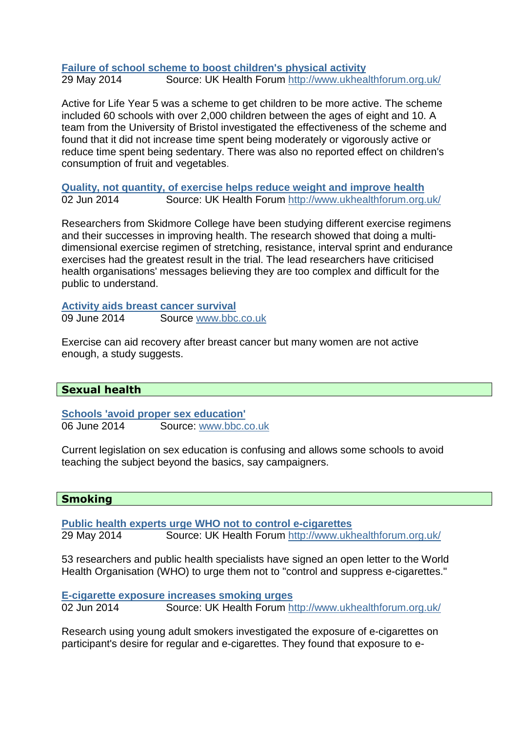#### **Failure of school scheme to boost children's physical activity**  29 May 2014 Source: UK Health Forum http://www.ukhealthforum.org.uk/

Active for Life Year 5 was a scheme to get children to be more active. The scheme included 60 schools with over 2,000 children between the ages of eight and 10. A team from the University of Bristol investigated the effectiveness of the scheme and found that it did not increase time spent being moderately or vigorously active or reduce time spent being sedentary. There was also no reported effect on children's consumption of fruit and vegetables.

**Quality, not quantity, of exercise helps reduce weight and improve health**  02 Jun 2014 Source: UK Health Forum http://www.ukhealthforum.org.uk/

Researchers from Skidmore College have been studying different exercise regimens and their successes in improving health. The research showed that doing a multidimensional exercise regimen of stretching, resistance, interval sprint and endurance exercises had the greatest result in the trial. The lead researchers have criticised health organisations' messages believing they are too complex and difficult for the public to understand.

**Activity aids breast cancer survival** 09 June 2014 Source www.bbc.co.uk

Exercise can aid recovery after breast cancer but many women are not active enough, a study suggests.

# **Sexual health**

**Schools 'avoid proper sex education'** 06 June 2014 Source: www.bbc.co.uk

Current legislation on sex education is confusing and allows some schools to avoid teaching the subject beyond the basics, say campaigners.

# **Smoking**

**Public health experts urge WHO not to control e-cigarettes**  29 May 2014 Source: UK Health Forum http://www.ukhealthforum.org.uk/

53 researchers and public health specialists have signed an open letter to the World Health Organisation (WHO) to urge them not to "control and suppress e-cigarettes."

**E-cigarette exposure increases smoking urges**  02 Jun 2014 Source: UK Health Forum http://www.ukhealthforum.org.uk/

Research using young adult smokers investigated the exposure of e-cigarettes on participant's desire for regular and e-cigarettes. They found that exposure to e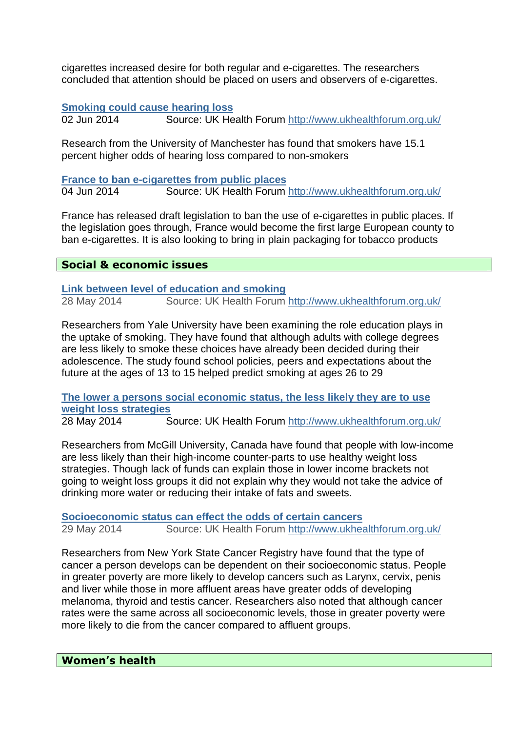cigarettes increased desire for both regular and e-cigarettes. The researchers concluded that attention should be placed on users and observers of e-cigarettes.

### **Smoking could cause hearing loss**

02 Jun 2014 Source: UK Health Forum http://www.ukhealthforum.org.uk/

Research from the University of Manchester has found that smokers have 15.1 percent higher odds of hearing loss compared to non-smokers

**France to ban e-cigarettes from public places** 

04 Jun 2014 Source: UK Health Forum http://www.ukhealthforum.org.uk/

France has released draft legislation to ban the use of e-cigarettes in public places. If the legislation goes through, France would become the first large European county to ban e-cigarettes. It is also looking to bring in plain packaging for tobacco products

# **Social & economic issues**

**Link between level of education and smoking**  28 May 2014 Source: UK Health Forum http://www.ukhealthforum.org.uk/

Researchers from Yale University have been examining the role education plays in the uptake of smoking. They have found that although adults with college degrees are less likely to smoke these choices have already been decided during their adolescence. The study found school policies, peers and expectations about the future at the ages of 13 to 15 helped predict smoking at ages 26 to 29

**The lower a persons social economic status, the less likely they are to use weight loss strategies** 

28 May 2014 Source: UK Health Forum http://www.ukhealthforum.org.uk/

Researchers from McGill University, Canada have found that people with low-income are less likely than their high-income counter-parts to use healthy weight loss strategies. Though lack of funds can explain those in lower income brackets not going to weight loss groups it did not explain why they would not take the advice of drinking more water or reducing their intake of fats and sweets.

**Socioeconomic status can effect the odds of certain cancers**  29 May 2014 Source: UK Health Forum http://www.ukhealthforum.org.uk/

Researchers from New York State Cancer Registry have found that the type of cancer a person develops can be dependent on their socioeconomic status. People in greater poverty are more likely to develop cancers such as Larynx, cervix, penis and liver while those in more affluent areas have greater odds of developing melanoma, thyroid and testis cancer. Researchers also noted that although cancer rates were the same across all socioeconomic levels, those in greater poverty were more likely to die from the cancer compared to affluent groups.

#### **Women's health**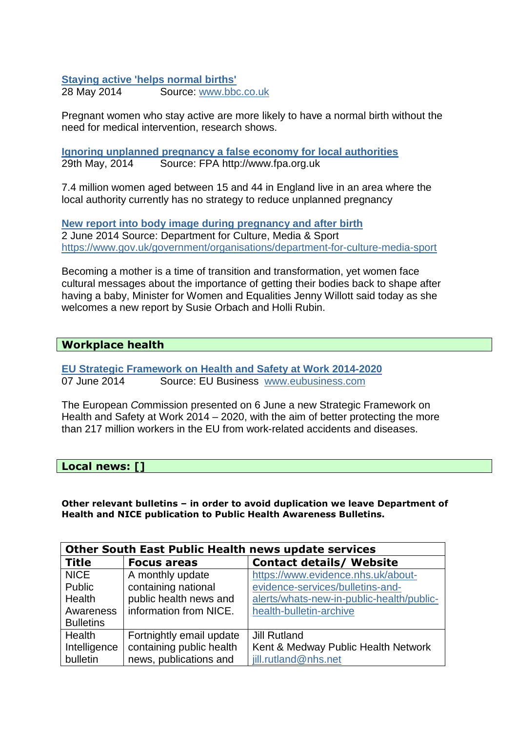#### **Staying active 'helps normal births'**

28 May 2014 Source: www.bbc.co.uk

Pregnant women who stay active are more likely to have a normal birth without the need for medical intervention, research shows.

**Ignoring unplanned pregnancy a false economy for local authorities**  29th May, 2014 Source: FPA http://www.fpa.org.uk

7.4 million women aged between 15 and 44 in England live in an area where the local authority currently has no strategy to reduce unplanned pregnancy

**New report into body image during pregnancy and after birth** 2 June 2014 Source: Department for Culture, Media & Sport https://www.gov.uk/government/organisations/department-for-culture-media-sport

Becoming a mother is a time of transition and transformation, yet women face cultural messages about the importance of getting their bodies back to shape after having a baby, Minister for Women and Equalities Jenny Willott said today as she welcomes a new report by Susie Orbach and Holli Rubin.

#### **Workplace health**

**EU Strategic Framework on Health and Safety at Work 2014-2020** 07 June 2014 Source: EU Business www.eubusiness.com

The European Commission presented on 6 June a new Strategic Framework on Health and Safety at Work 2014 – 2020, with the aim of better protecting the more than 217 million workers in the EU from work-related accidents and diseases.

**Local news: []** 

**Other relevant bulletins – in order to avoid duplication we leave Department of Health and NICE publication to Public Health Awareness Bulletins.** 

| <b>Other South East Public Health news update services</b> |                          |                                           |
|------------------------------------------------------------|--------------------------|-------------------------------------------|
| <b>Title</b>                                               | <b>Focus areas</b>       | <b>Contact details/ Website</b>           |
| <b>NICE</b>                                                | A monthly update         | https://www.evidence.nhs.uk/about-        |
| Public                                                     | containing national      | evidence-services/bulletins-and-          |
| Health                                                     | public health news and   | alerts/whats-new-in-public-health/public- |
| Awareness                                                  | information from NICE.   | health-bulletin-archive                   |
| <b>Bulletins</b>                                           |                          |                                           |
| Health                                                     | Fortnightly email update | <b>Jill Rutland</b>                       |
| Intelligence                                               | containing public health | Kent & Medway Public Health Network       |
| bulletin                                                   | news, publications and   | jill.rutland@nhs.net                      |